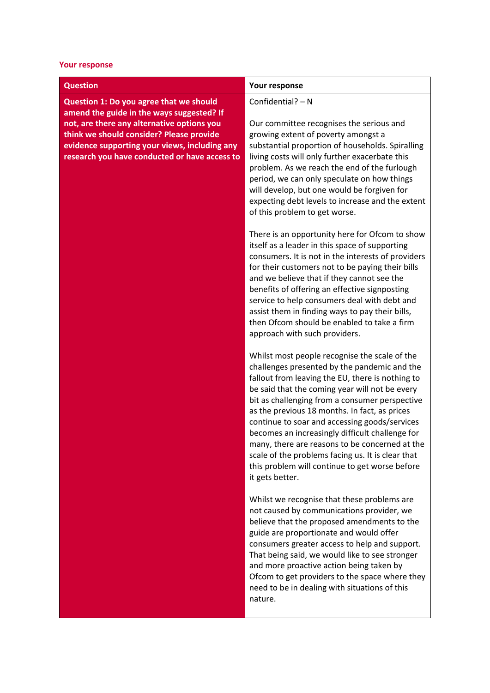## **Your response**

**Question 1: Do you agree that we should amend the guide in the ways suggested? If not, are there any alternative options you think we should consider? Please provide evidence supporting your views, including any research you have conducted or have access to**

## **Question Your response**

## Confidential? – N

Our committee recognises the serious and growing extent of poverty amongst a substantial proportion of households. Spiralling living costs will only further exacerbate this problem. As we reach the end of the furlough period, we can only speculate on how things will develop, but one would be forgiven for expecting debt levels to increase and the extent of this problem to get worse.

There is an opportunity here for Ofcom to show itself as a leader in this space of supporting consumers. It is not in the interests of providers for their customers not to be paying their bills and we believe that if they cannot see the benefits of offering an effective signposting service to help consumers deal with debt and assist them in finding ways to pay their bills, then Ofcom should be enabled to take a firm approach with such providers.

Whilst most people recognise the scale of the challenges presented by the pandemic and the fallout from leaving the EU, there is nothing to be said that the coming year will not be every bit as challenging from a consumer perspective as the previous 18 months. In fact, as prices continue to soar and accessing goods/services becomes an increasingly difficult challenge for many, there are reasons to be concerned at the scale of the problems facing us. It is clear that this problem will continue to get worse before it gets better.

Whilst we recognise that these problems are not caused by communications provider, we believe that the proposed amendments to the guide are proportionate and would offer consumers greater access to help and support. That being said, we would like to see stronger and more proactive action being taken by Ofcom to get providers to the space where they need to be in dealing with situations of this nature.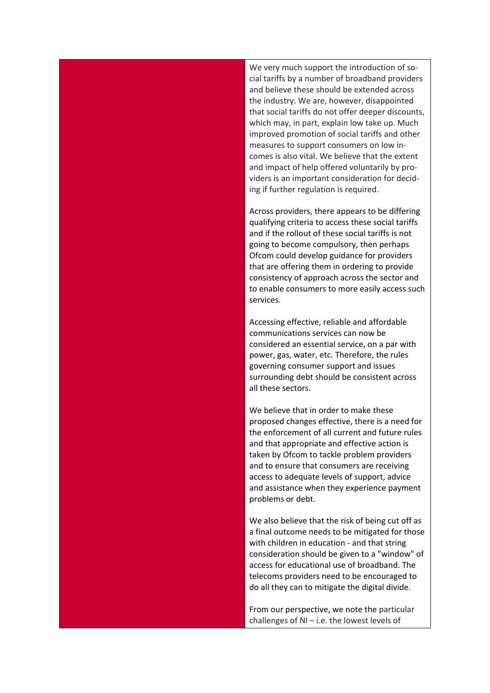We very much support the introduction of social tariffs by a number of broadband providers and believe these should be extended across the industry. We are, however, disappointed that social tariffs do not offer deeper discounts, which may, in part, explain low take up. Much improved promotion of social tariffs and other measures to support consumers on low incomes is also vital. We believe that the extent and impact of help offered voluntarily by providers is an important consideration for deciding if further regulation is required.

Across providers, there appears to be differing qualifying criteria to access these social tariffs and if the rollout of these social tariffs is not going to become compulsory, then perhaps Ofcom could develop guidance for providers that are offering them in ordering to provide consistency of approach across the sector and to enable consumers to more easily access such services.

Accessing effective, reliable and affordable communications services can now be considered an essential service, on a par with power, gas, water, etc. Therefore, the rules governing consumer support and issues surrounding debt should be consistent across all these sectors.

We believe that in order to make these proposed changes effective, there is a need for the enforcement of all current and future rules and that appropriate and effective action is taken by Ofcom to tackle problem providers and to ensure that consumers are receiving access to adequate levels of support, advice and assistance when they experience payment problems or debt.

We also believe that the risk of being cut off as a final outcome needs to be mitigated for those with children in education - and that string consideration should be given to a "window" of access for educational use of broadband. The telecoms providers need to be encouraged to do all they can to mitigate the digital divide.

From our perspective, we note the particular challenges of NI – i.e. the lowest levels of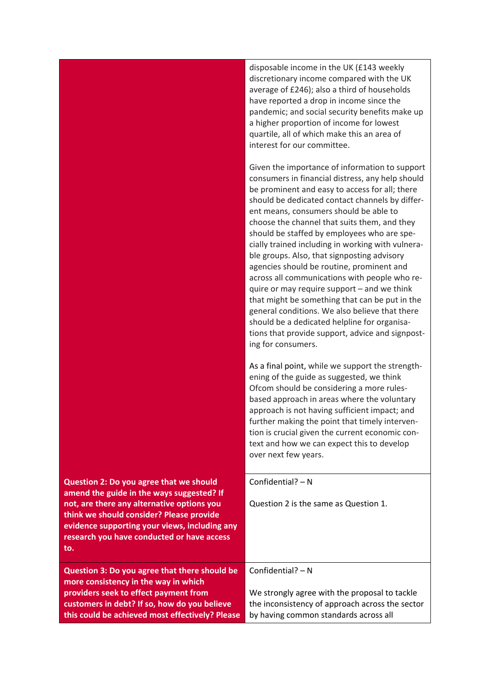|                                                                                                                                                                                                                                                                                      | disposable income in the UK (£143 weekly<br>discretionary income compared with the UK<br>average of £246); also a third of households<br>have reported a drop in income since the<br>pandemic; and social security benefits make up<br>a higher proportion of income for lowest<br>quartile, all of which make this an area of<br>interest for our committee.                                                                                                                                                                                                                                                                                                                                                                                                                                                                   |
|--------------------------------------------------------------------------------------------------------------------------------------------------------------------------------------------------------------------------------------------------------------------------------------|---------------------------------------------------------------------------------------------------------------------------------------------------------------------------------------------------------------------------------------------------------------------------------------------------------------------------------------------------------------------------------------------------------------------------------------------------------------------------------------------------------------------------------------------------------------------------------------------------------------------------------------------------------------------------------------------------------------------------------------------------------------------------------------------------------------------------------|
|                                                                                                                                                                                                                                                                                      | Given the importance of information to support<br>consumers in financial distress, any help should<br>be prominent and easy to access for all; there<br>should be dedicated contact channels by differ-<br>ent means, consumers should be able to<br>choose the channel that suits them, and they<br>should be staffed by employees who are spe-<br>cially trained including in working with vulnera-<br>ble groups. Also, that signposting advisory<br>agencies should be routine, prominent and<br>across all communications with people who re-<br>quire or may require support - and we think<br>that might be something that can be put in the<br>general conditions. We also believe that there<br>should be a dedicated helpline for organisa-<br>tions that provide support, advice and signpost-<br>ing for consumers. |
|                                                                                                                                                                                                                                                                                      | As a final point, while we support the strength-<br>ening of the guide as suggested, we think<br>Ofcom should be considering a more rules-<br>based approach in areas where the voluntary<br>approach is not having sufficient impact; and<br>further making the point that timely interven-<br>tion is crucial given the current economic con-<br>text and how we can expect this to develop<br>over next few years.                                                                                                                                                                                                                                                                                                                                                                                                           |
| Question 2: Do you agree that we should<br>amend the guide in the ways suggested? If<br>not, are there any alternative options you<br>think we should consider? Please provide<br>evidence supporting your views, including any<br>research you have conducted or have access<br>to. | Confidential? $- N$<br>Question 2 is the same as Question 1.                                                                                                                                                                                                                                                                                                                                                                                                                                                                                                                                                                                                                                                                                                                                                                    |
| Question 3: Do you agree that there should be<br>more consistency in the way in which<br>providers seek to effect payment from<br>customers in debt? If so, how do you believe<br>this could be achieved most effectively? Please                                                    | Confidential? - N<br>We strongly agree with the proposal to tackle<br>the inconsistency of approach across the sector<br>by having common standards across all                                                                                                                                                                                                                                                                                                                                                                                                                                                                                                                                                                                                                                                                  |